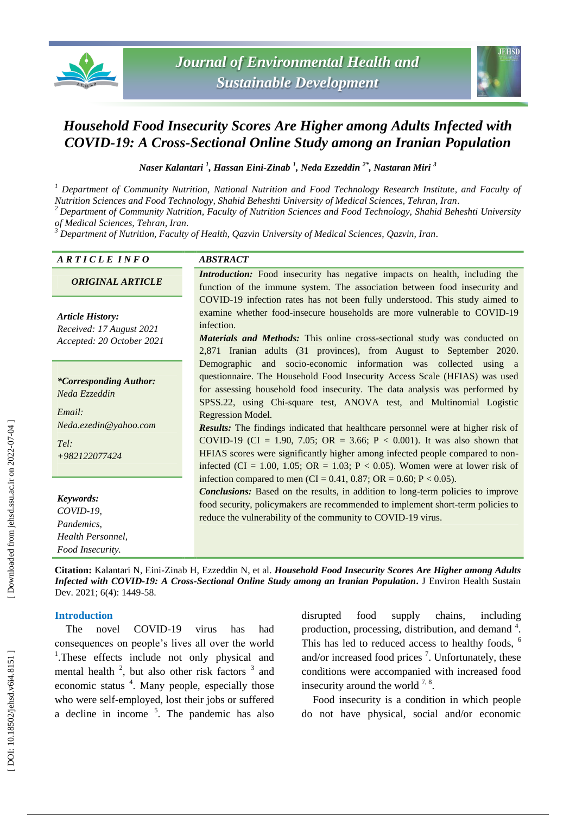



# *Household Food Insecurity Scores Are Higher among Adults Infected with COVID -19 : A Cross -Sectional Online Study among an Iranian Population*

 $N$ aser Kalantari  $^1$ , Hassan Eini-Zinab  $^1$ , Neda Ezzeddin  $^{2^*}$ , Nastaran Miri  $^3$ 

<sup>1</sup> Department of Community Nutrition, National Nutrition and Food Technology Research Institute, and Faculty of *Nutrition Sciences and Food Technology, Shahid Beheshti University of Medical Sciences, Tehran, Iran .*

*<sup>2</sup> Department of Community Nutrition, Faculty of Nutrition Sciences and Food Technology, Shahid Beheshti University of Medical Sciences, Tehran, Iran .*

*<sup>3</sup> Department of Nutrition, Faculty of Health, Qazvin University of Medical Sciences, Qazvin, Iran .*

| ARTICLE INFO                                                                                               | <b>ABSTRACT</b>                                                                                                                                                                                                                                                                                                                                                                                                                                                                                                                                                                                                                                                    |  |  |  |  |
|------------------------------------------------------------------------------------------------------------|--------------------------------------------------------------------------------------------------------------------------------------------------------------------------------------------------------------------------------------------------------------------------------------------------------------------------------------------------------------------------------------------------------------------------------------------------------------------------------------------------------------------------------------------------------------------------------------------------------------------------------------------------------------------|--|--|--|--|
| <b>ORIGINAL ARTICLE</b>                                                                                    | <b>Introduction:</b> Food insecurity has negative impacts on health, including the<br>function of the immune system. The association between food insecurity and                                                                                                                                                                                                                                                                                                                                                                                                                                                                                                   |  |  |  |  |
| <b>Article History:</b><br>Received: 17 August 2021<br>Accepted: 20 October 2021                           | COVID-19 infection rates has not been fully understood. This study aimed to<br>examine whether food-insecure households are more vulnerable to COVID-19<br>infection.<br><b>Materials and Methods:</b> This online cross-sectional study was conducted on<br>2,871 Iranian adults (31 provinces), from August to September 2020.                                                                                                                                                                                                                                                                                                                                   |  |  |  |  |
| <i>*Corresponding Author:</i><br>Neda Ezzeddin<br>Email:<br>Neda.ezedin@yahoo.com<br>Tel:<br>+982122077424 | Demographic and socio-economic information was collected using a<br>questionnaire. The Household Food Insecurity Access Scale (HFIAS) was used<br>for assessing household food insecurity. The data analysis was performed by<br>SPSS.22, using Chi-square test, ANOVA test, and Multinomial Logistic<br>Regression Model.<br><b>Results:</b> The findings indicated that healthcare personnel were at higher risk of<br>COVID-19 (CI = 1.90, 7.05; OR = 3.66; P < 0.001). It was also shown that<br>HFIAS scores were significantly higher among infected people compared to non-<br>infected (CI = 1.00, 1.05; OR = 1.03; P < 0.05). Women were at lower risk of |  |  |  |  |
| Keywords:<br>COVID-19,<br>Pandemics,<br>Health Personnel,<br>Food Insecurity.                              | infection compared to men (CI = 0.41, 0.87; OR = 0.60; P < 0.05).<br><b>Conclusions:</b> Based on the results, in addition to long-term policies to improve<br>food security, policymakers are recommended to implement short-term policies to<br>reduce the vulnerability of the community to COVID-19 virus.                                                                                                                                                                                                                                                                                                                                                     |  |  |  |  |

**Citation:** Kalantari N, Eini -Zinab H, Ezzeddin N, et al. *Household Food Insecurity Scores Are Higher among Adults Infected with COVID -19: A Cross -Sectional Online Study among an Iranian Population***.** J Environ Health Sustain Dev. 2021; 6(4): 1449-58.

#### **Introduction**

The novel COVID-19 virus has had consequences on people's lives all over the world <sup>1</sup>.These effects include not only physical and mental health  $2$ , but also other risk factors  $3$  and economic status <sup>4</sup>. Many people, especially those who were self-employed, lost their jobs or suffered a decline in income 5 . The pandemic has also disrupted food supply chains, including production, processing, distribution, and demand <sup>4</sup>. This has led to reduced access to healthy foods,  $6$ and/or increased food prices 7 . Unfortunately, these conditions were accompanied with increased food insecurity around the world  $7, 8$ .

Food insecurity is a condition in which people do not have physical, social and/or economic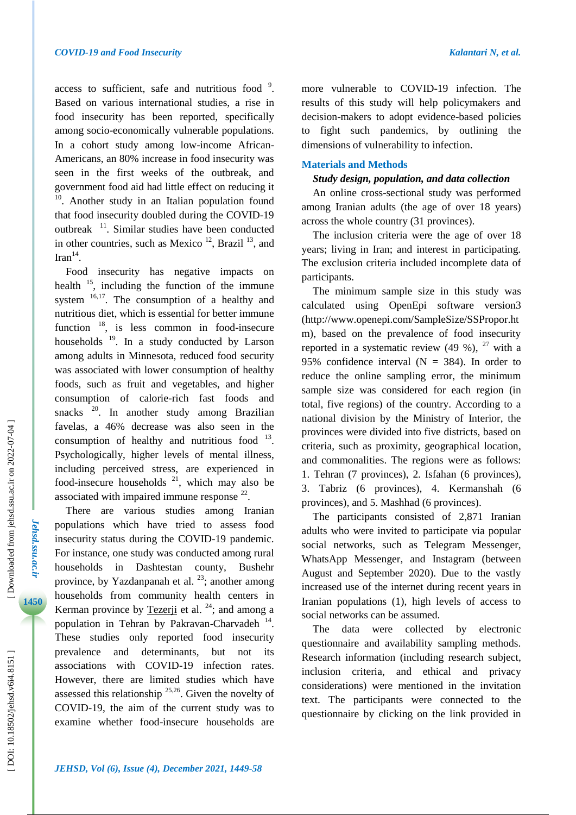access to sufficient, safe and nutritious food  $\frac{9}{2}$ . Based on various international studies, a rise in food insecurity has been reported, specifically among socio -economically vulnerable populations. In a cohort study among low -income African - Americans, an 80 % increase in food insecurity was seen in the first weeks of the outbreak, and government food aid had little effect on reducing it <sup>10</sup>. Another study in an Italian population found that food insecurity doubled during the COVID -19 outbreak <sup>11</sup>. Similar studies have been conducted in other countries, such as Mexico<sup>12</sup>, Brazil<sup>13</sup>, and Iran $^{14}$ .

Food insecurity has negative impacts on health  $^{15}$ , including the function of the immune system  $^{16,17}$ . The consumption of a healthy and nutritious diet, which is essential for better immune function  $^{18}$ , is less common in food-insecure households <sup>19</sup>. In a study conducted by Larson among adults in Minnesota, reduced food security was associated with lower consumption of healthy foods, such as fruit and vegetables, and higher consumption of calorie -rich fast foods and snacks<sup>20</sup>. In another study among Brazilian favelas, a 46% decrease was also seen in the consumption of healthy and nutritious food  $13$ . Psychologically , higher levels of mental illness, including perceived stress, are experienced in food-insecure households  $21$ , which may also be associated with impaired immune response  $2^2$ .

There are various studies among Iranian populations which have tried to assess food insecurity status during the COVID -19 pandemic. For instance, one study was conducted among rural households in Dashtestan county, Bushehr province, by Yazdanpanah et al.  $^{23}$ ; another among households from community health centers in Kerman province by [Tezerji](http://jams.arakmu.ac.ir/search.php?sid=1&slc_lang=en&auth=Tezerji) et al.  $24$ ; and among a population in Tehran by Pakravan-Charvadeh<sup>14</sup>. These studies only reported food insecurity prevalence and determinants, but not its associations with COVID -19 infection rates. However, there are limited studies which have assessed this relationship  $25,26$ . Given the novelty of COVID -19, the aim of the current study was to examine whether food -insecure households are

more vulnerable to COVID -19 infection. The results of this study will help policymakers and decision -makers to adopt evidence -based policies to fight such pandemics, by outlining the dimensions of vulnerability to infection.

#### **Materials and Methods**

#### *Study design, population , and data collection*

An online cross -sectional study was performed among Iranian adults (the age of over 18 years) across the whole country (31 provinces).

The inclusion criteria were the age of over 18 years; living in Iran; and interest in participating. The exclusion criteria included incomplete data of participants.

The minimum sample size in this study was calculated using OpenEpi software version3 (http://www.openepi.com/SampleSize/SSPropor.ht m), based on the prevalence of food insecurity reported in a systematic review  $(49\%),$  <sup>27</sup> with a 95% confidence interval  $(N = 384)$ . In order to reduce the online sampling error, the minimum sample size was considered for each region (in total, five regions) of the country. According to a national division by the Ministry of Interior, the provinces were divided into five districts, based on criteria , such as proximity, geographical location , and commonalities . The regions were as follows: 1. Tehran (7 provinces), 2. Isfahan (6 provinces), 3. Tabriz (6 provinces), 4. Kermanshah (6 provinces) , and 5. Mashhad (6 provinces).

The participants consisted of 2,871 Iranian adults who were invited to participate via popular social networks , such as Telegram Messenger, WhatsApp Messenger , and Instagram (between August and September 2020). Due to the vastly increased use of the internet during recent years in Iranian populations (1), high levels of access to social networks can be assumed.

The data were collected by electronic questionnaire and availability sampling methods. Research information (including research subject, inclusion criteria, and ethical and privacy considerations) were mentioned in the invitation text. The participants were connected to the questionnaire by clicking on the link provided in

*Jehsd.ssu.ac.ir*

Jehsd.ssu.ac.ir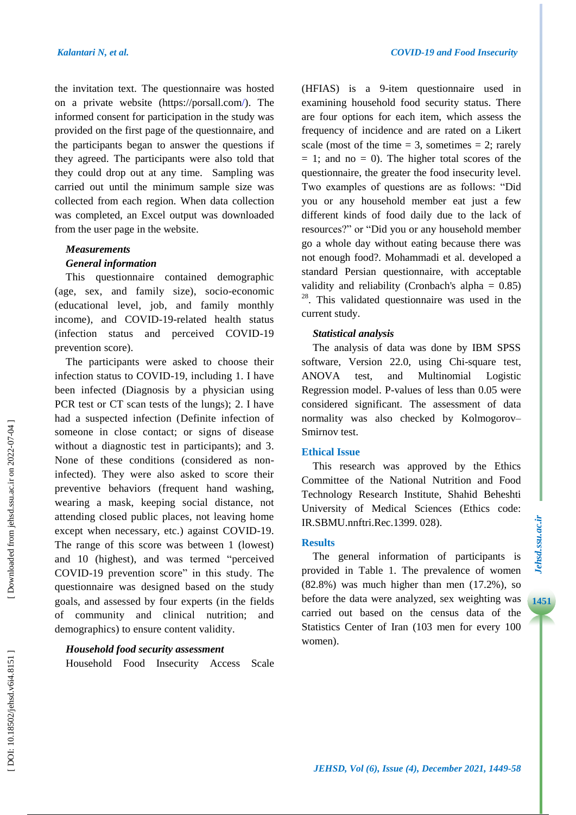the invitation text. The questionnaire was hosted on a private website [\(https://porsall.com/](https://porsall.com/) ) . The informed consent for participation in the study was provided on the first page of the questionnaire, and the participants began to answer the questions if they agreed. The participants were also told that they could drop out at any time. Sampling was carried out until the minimum sample size was collected from each region. When data collection was completed, an Excel output was downloaded from the user page in the website.

#### *Measurements*

#### *General information*

This questionnaire contained demographic (age, sex , and family size), socio -economic (educational level, job , and family monthly income) , and COVID -19 -related health status (infection status and perceived COVID -19 prevention score).

The participants were asked to choose their infection status to COVID -19, including 1. I have been infected (Diagnosis by a physician using PCR test or CT scan tests of the lungs); 2. I have had a suspected infection (Definite infection of someone in close contact; or signs of disease without a diagnostic test in participants); and 3. None of these conditions (considered as non infected). They were also asked to score their preventive behaviors ( frequent hand washing, wearing a mask, keeping social distance, not attending closed public places, not leaving home except when necessary, etc.) against COVID -19. The range of this score was between 1 (lowest) and 10 (highest), and was termed "perceived COVID -19 prevention score" in this study. The questionnaire was designed based on the study goals, and assessed by four experts (in the field s of community and clinical nutrition; and demographics) to ensure content validity.

#### *Household food security assessment*

Household Food Insecurity Access Scale

(HFIAS) is a 9 -item questionnaire used in examining household food security status. There are four options for each item, which assess the frequency of incidence and are rated on a Likert scale (most of the time  $= 3$ , sometimes  $= 2$ ; rarely  $= 1$ ; and no  $= 0$ ). The higher total scores of the questionnaire, the greater the food insecurity level. Two examples of questions are as follows: " Did you or any household member eat just a few different kinds of food daily due to the lack of resources?" or " Did you or any household member go a whole day without eating because there was not enough food?. Mohammadi et al. developed a standard Persian questionnaire, with acceptable validity and reliability (Cronbach's alpha =  $0.85$ ) <sup>28</sup>. This validated questionnaire was used in the current study.

#### *Statistical analysis*

The analysis of data was done by IBM SPSS software, Version 22.0, using Chi -square test, ANOVA test, and Multinomial Logistic Regression model. P -values of less than 0.05 were considered significant. The assessment of data normality was also checked by Kolmogorov – Smirnov test.

#### **Ethical Issue**

This research was approved by the Ethics Committee of the National Nutrition and Food Technology Research Institute, Shahid Beheshti University of Medical Sciences (Ethics code: IR.SBMU.nnftri.Rec.1399. 028).

### **Results**

The general information of participants is provided in Table 1. The prevalence of women (82.8%) was much higher than men (17.2%), so before the data were analyzed, sex weighting was carried out based on the census data of the Statistics Center of Iran (103 men for every 100 women).

**1451**

Downloaded from jehsd.ssu.ac.ir on 2022-07-04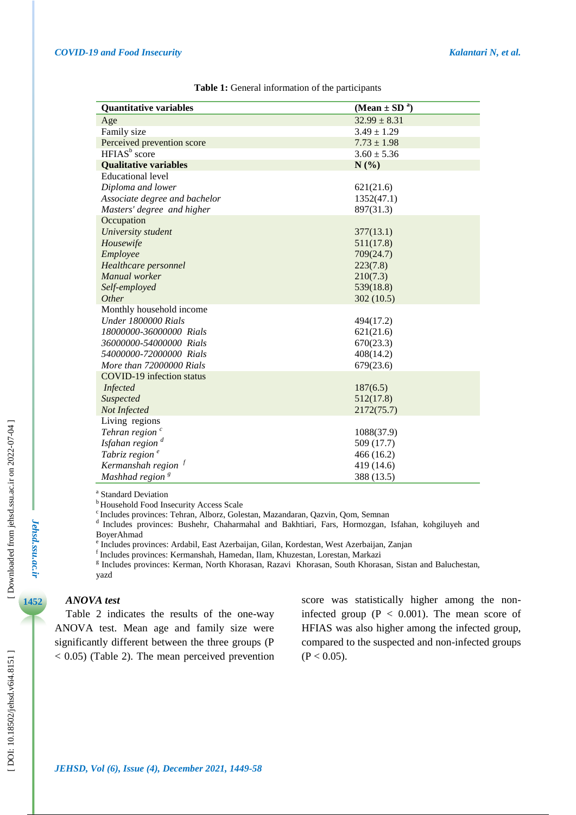| <b>Quantitative variables</b>    | (Mean $\pm$ SD <sup>a</sup> ) |  |  |
|----------------------------------|-------------------------------|--|--|
| Age                              | $32.99 \pm 8.31$              |  |  |
| Family size                      | $3.49 \pm 1.29$               |  |  |
| Perceived prevention score       | $7.73 \pm 1.98$               |  |  |
| HFIAS <sup>b</sup> score         | $3.60 \pm 5.36$               |  |  |
| <b>Qualitative variables</b>     | N(%)                          |  |  |
| <b>Educational level</b>         |                               |  |  |
| Diploma and lower                | 621(21.6)                     |  |  |
| Associate degree and bachelor    | 1352(47.1)                    |  |  |
| Masters' degree and higher       | 897(31.3)                     |  |  |
| Occupation                       |                               |  |  |
| University student               | 377(13.1)                     |  |  |
| Housewife                        | 511(17.8)                     |  |  |
| Employee                         | 709(24.7)                     |  |  |
| Healthcare personnel             | 223(7.8)                      |  |  |
| Manual worker                    | 210(7.3)                      |  |  |
| Self-employed                    | 539(18.8)                     |  |  |
| Other                            | 302 (10.5)                    |  |  |
| Monthly household income         |                               |  |  |
| Under 1800000 Rials              | 494(17.2)                     |  |  |
| 18000000-36000000 Rials          | 621(21.6)                     |  |  |
| 36000000-54000000 Rials          | 670(23.3)                     |  |  |
| 54000000-72000000 Rials          | 408(14.2)                     |  |  |
| More than 72000000 Rials         | 679(23.6)                     |  |  |
| <b>COVID-19</b> infection status |                               |  |  |
| Infected                         | 187(6.5)                      |  |  |
| Suspected                        | 512(17.8)                     |  |  |
| Not Infected                     | 2172(75.7)                    |  |  |
| Living regions                   |                               |  |  |
| Tehran region <sup>c</sup>       | 1088(37.9)                    |  |  |
| Isfahan region $\frac{d}{dx}$    | 509 (17.7)                    |  |  |
| Tabriz region <sup>e</sup>       | 466 (16.2)                    |  |  |
| Kermanshah region $f$            | 419 (14.6)                    |  |  |
| Mashhad region <sup>8</sup>      | 388 (13.5)                    |  |  |

#### **Table 1:** General information of the participants

a Standard Deviation

**b** Household Food Insecurity Access Scale

<sup>c</sup>Includes provinces: Tehran, Alborz, Golestan, Mazandaran, Qazvin, Qom, Semnan

<sup>d</sup> Includes provinces: Bushehr, Chaharmahal and Bakhtiari, Fars, Hormozgan, Isfahan, kohgiluyeh and **BoyerAhmad** 

e Includes provinces: Ardabil, East Azerbaijan, Gilan, Kordestan, West Azerbaijan, Zanjan

f Includes provinces: Kermanshah, Hamedan, Ilam, Khuzestan, Lorestan, Markazi

g Includes provinces: Kerman, North Khorasan, Razavi Khorasan, South Khorasan, Sistan and Baluchestan, yazd

## *ANOVA test*

Table 2 indicates the results of the one -way ANOVA test. Mean age and family size were significantly different between the three groups (P  $<$  0.05) (Table 2). The mean perceived prevention

score was statistically higher among the non infected group  $(P < 0.001)$ . The mean score of HFIAS was also higher among the infected group, compared to the suspected and non -infected groups  $(P < 0.05)$ .

*Jehsd.ssu.ac.ir*

Jehsd.ssu.ac.ir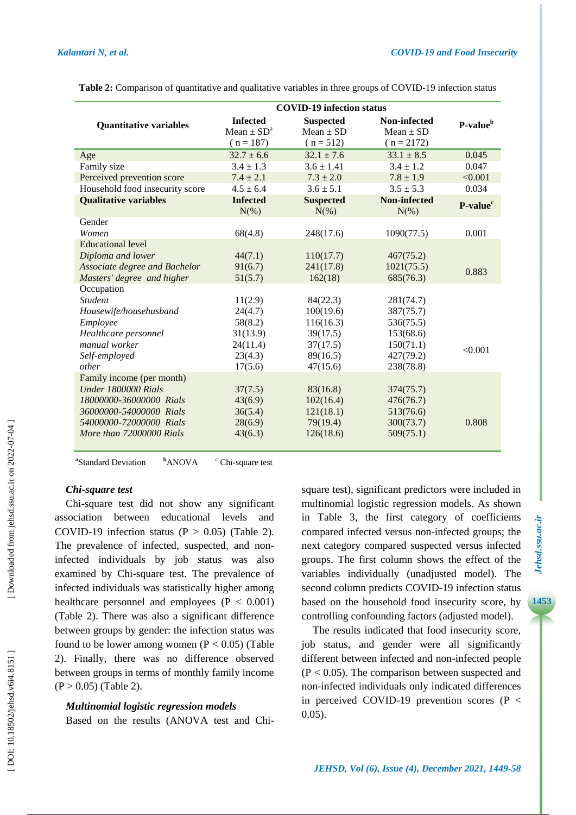|                                 | <b>COVID-19 infection status</b>                                                                                 |                             |                                               |                      |
|---------------------------------|------------------------------------------------------------------------------------------------------------------|-----------------------------|-----------------------------------------------|----------------------|
| <b>Quantitative variables</b>   | <b>Infected</b><br><b>Suspected</b><br>Mean $\pm$ SD <sup>a</sup><br>$Mean \pm SD$<br>$(n = 187)$<br>$(n = 512)$ |                             | Non-infected<br>$Mean \pm SD$<br>$(n = 2172)$ | P-value <sup>b</sup> |
| Age                             | $32.7 \pm 6.6$                                                                                                   | $32.1 \pm 7.6$              | $33.1 \pm 8.5$                                | 0.045                |
| Family size                     | $3.4 \pm 1.3$                                                                                                    | $3.6 \pm 1.41$              | $3.4 \pm 1.2$                                 | 0.047                |
| Perceived prevention score      | $7.4 \pm 2.1$                                                                                                    | $7.3 \pm 2.0$               | $7.8 \pm 1.9$                                 | < 0.001              |
| Household food insecurity score | $4.5 \pm 6.4$                                                                                                    | $3.6 \pm 5.1$               | $3.5 \pm 5.3$                                 | 0.034                |
| <b>Qualitative variables</b>    | <b>Infected</b><br>$N(\%)$                                                                                       | <b>Suspected</b><br>$N(\%)$ | <b>Non-infected</b><br>$N(\%)$                | P-value <sup>c</sup> |
| Gender                          |                                                                                                                  |                             |                                               |                      |
| Women                           | 68(4.8)                                                                                                          | 248(17.6)                   | 1090(77.5)                                    | 0.001                |
| <b>Educational level</b>        |                                                                                                                  |                             |                                               |                      |
| Diploma and lower               | 44(7.1)                                                                                                          | 110(17.7)                   | 467(75.2)                                     |                      |
| Associate degree and Bachelor   | 91(6.7)                                                                                                          | 241(17.8)                   | 1021(75.5)                                    |                      |
| Masters' degree and higher      | 51(5.7)                                                                                                          | 162(18)                     | 685(76.3)                                     | 0.883                |
| Occupation                      |                                                                                                                  |                             |                                               |                      |
| <b>Student</b>                  | 11(2.9)                                                                                                          | 84(22.3)                    | 281(74.7)                                     |                      |
| Housewife/househusband          | 24(4.7)                                                                                                          | 100(19.6)                   | 387(75.7)                                     |                      |
| Employee                        | 58(8.2)                                                                                                          | 116(16.3)                   | 536(75.5)                                     |                      |
| Healthcare personnel            | 31(13.9)                                                                                                         | 39(17.5)                    | 153(68.6)                                     |                      |
| manual worker                   | 24(11.4)                                                                                                         | 37(17.5)                    | 150(71.1)                                     | < 0.001              |
| Self-employed                   | 23(4.3)                                                                                                          | 89(16.5)                    | 427(79.2)                                     |                      |
| other                           | 17(5.6)                                                                                                          | 47(15.6)                    | 238(78.8)                                     |                      |
| Family income (per month)       |                                                                                                                  |                             |                                               |                      |
| Under 1800000 Rials             | 37(7.5)                                                                                                          | 83(16.8)                    | 374(75.7)                                     |                      |
| 18000000-36000000 Rials         | 43(6.9)                                                                                                          | 102(16.4)                   | 476(76.7)                                     |                      |
| 36000000-54000000 Rials         | 36(5.4)                                                                                                          | 121(18.1)                   | 513(76.6)                                     |                      |
| 54000000-72000000 Rials         | 28(6.9)                                                                                                          | 79(19.4)                    | 300(73.7)                                     | 0.808                |
| More than 72000000 Rials        | 43(6.3)                                                                                                          | 126(18.6)                   | 509(75.1)                                     |                      |

**Table 2:** Comparison of quantitative and qualitative variables in three groups of COVID-19 infection status

**a** Standard Deviation **<sup>b</sup>**ANOVA <sup>c</sup> Chi -square test

### *Chi -square test*

Chi -square test did not show any significant association between educational levels and COVID-19 infection status ( $P > 0.05$ ) (Table 2). The prevalence of infected, suspected, and noninfected individuals by job status was also examined by Chi -square test. The prevalence of infected individuals was statistically higher among healthcare personnel and employees  $(P < 0.001)$ (Table 2). There was also a significant difference between groups by gender: the infection status was found to be lower among women  $(P < 0.05)$  (Table 2). Finally, there was no difference observed between groups in terms of monthly family income  $(P > 0.05)$  (Table 2).

### *Multinomial logistic regression models*

Based on the results (ANOVA test and Chi -

square test), significant predictors were included in multinomial logistic regression models. As shown in Table 3, the first category of coefficients compared infected versus non -infected groups; the next category compared suspected versus infected groups. The first column shows the effect of the variables individually (unadjusted model). The second column predicts COVID -19 infection status based on the household food insecurity score, by controlling confounding factors ( adjusted model).

The results indicated that food insecurity score, job status , and gender were all significantly different between infected and non -infected people (P < 0.05). The comparison between suspected and non -infected individuals only indicated differences in perceived COVID -19 prevention scores (P < 0.05).

# Jehsd.ssu.ac.ir **14***Jehsd.ssu.ac.ir*

**1453**

Downloaded from jehsd.ssu.ac.ir on 2022-07-04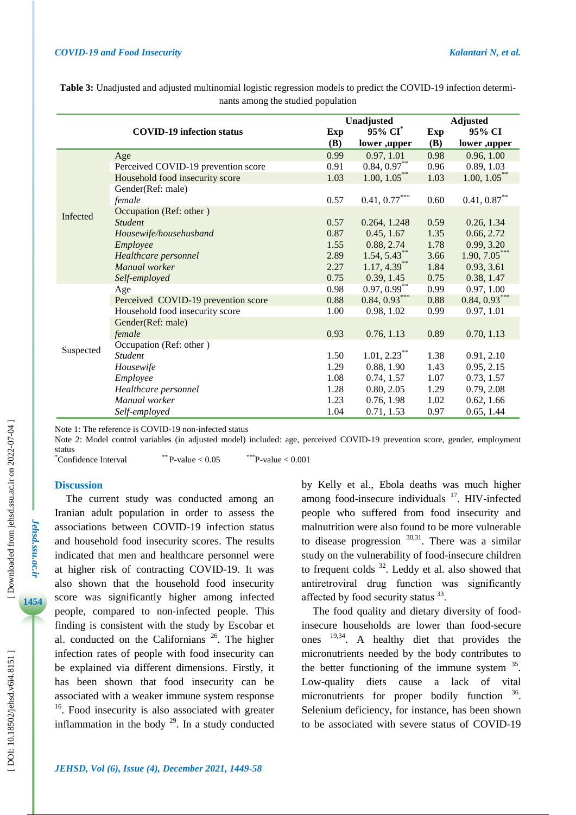| <b>COVID-19 infection status</b> |                                     | Unadjusted |                            | <b>Adjusted</b> |                            |
|----------------------------------|-------------------------------------|------------|----------------------------|-----------------|----------------------------|
|                                  |                                     | Exp        | 95% CI <sup>*</sup>        | Exp             | 95% CI                     |
|                                  |                                     | <b>(B)</b> | lower ,upper               | <b>(B)</b>      | lower ,upper               |
|                                  | Age                                 | 0.99       | 0.97, 1.01                 | 0.98            | 0.96, 1.00                 |
|                                  | Perceived COVID-19 prevention score | 0.91       | $0.84, 0.97***$            | 0.96            | 0.89, 1.03                 |
|                                  | Household food insecurity score     | 1.03       | $1.00, 1.05$ <sup>**</sup> | 1.03            | $1.00, 1.05$ <sup>**</sup> |
|                                  | Gender(Ref: male)                   |            |                            |                 |                            |
|                                  | female                              | 0.57       | $0.41, 0.77***$            | 0.60            | $0.41, 0.87***$            |
| Infected                         | Occupation (Ref: other)             |            |                            |                 |                            |
|                                  | <b>Student</b>                      | 0.57       | 0.264, 1.248               | 0.59            | 0.26, 1.34                 |
|                                  | Housewife/househusband              | 0.87       | 0.45, 1.67                 | 1.35            | 0.66, 2.72                 |
|                                  | Employee                            | 1.55       | 0.88, 2.74                 | 1.78            | 0.99, 3.20                 |
|                                  | Healthcare personnel                | 2.89       | $1.54, 5.43$ <sup>**</sup> | 3.66            | $1.90, 7.05***$            |
|                                  | Manual worker                       | 2.27       | $1.17, 4.39$ <sup>**</sup> | 1.84            | 0.93, 3.61                 |
|                                  | Self-employed                       | 0.75       | 0.39, 1.45                 | 0.75            | 0.38, 1.47                 |
| Suspected                        | Age                                 | 0.98       | $0.97, 0.99$ **            | 0.99            | 0.97, 1.00                 |
|                                  | Perceived COVID-19 prevention score | 0.88       | $0.84, 0.93***$            | 0.88            | $0.84, 0.93***$            |
|                                  | Household food insecurity score     | 1.00       | 0.98, 1.02                 | 0.99            | 0.97, 1.01                 |
|                                  | Gender(Ref: male)                   |            |                            |                 |                            |
|                                  | female                              | 0.93       | 0.76, 1.13                 | 0.89            | 0.70, 1.13                 |
|                                  | Occupation (Ref: other)             |            |                            |                 |                            |
|                                  | <b>Student</b>                      | 1.50       | $1.01, 2.23$ <sup>**</sup> | 1.38            | 0.91, 2.10                 |
|                                  | Housewife                           | 1.29       | 0.88, 1.90                 | 1.43            | 0.95, 2.15                 |
|                                  | Employee                            | 1.08       | 0.74, 1.57                 | 1.07            | 0.73, 1.57                 |
|                                  | Healthcare personnel                | 1.28       | 0.80, 2.05                 | 1.29            | 0.79, 2.08                 |
|                                  | Manual worker                       | 1.23       | 0.76, 1.98                 | 1.02            | 0.62, 1.66                 |
|                                  | Self-employed                       | 1.04       | 0.71, 1.53                 | 0.97            | 0.65, 1.44                 |

**Table 3:** Unadjusted and adjusted multinomial logistic regression models to predict the COVID -19 infection determinants among the studied population

Note 1: The reference is COVID -19 non -infected status

Note 2: Model control variables (in adjusted model ) included: age, perceived COVID -19 prevention score, gender, employment status<br>\*Confidence Interval P -value < 0.001

P-value  $< 0.05$  \*\*\*

#### **Discussion**

The current study was conducted among an Iranian adult population in order to assess the associations between COVID -19 infection status and household food insecurity scores. The results indicated that men and healthcare personnel were at higher risk of contracting COVID -19. It was also shown that the household food insecurity score was significantly higher among infected people, compared to non -infected people. This finding is consistent with the study by Escobar et al. conducted on the Californians  $26$ . The higher infection rates of people with food insecurity can be explained via different dimensions. Firstly , it has been shown that food insecurity can be associated with a weaker immune system response <sup>16</sup>. Food insecurity is also associated with greater inflammation in the body  $29$ . In a study conducted

*JEHSD, Vol ( 6), Issue (4), December 2021, 1449 -58*

by Kelly et al ., Ebola deaths was much higher among food-insecure individuals <sup>17</sup>. HIV-infected people who suffered from food insecurity and malnutrition were also found to be more vulnerable to disease progression  $30,31$ . There was a similar study on the vulnerability of food -insecure children to frequent colds  $32$ . Leddy et al. also showed that antiretroviral drug function was significantly affected by food security status <sup>33</sup>.

The food quality and dietary diversity of food insecure households are lower than food -secure ones 19,34. A healthy diet that provides the micronutrients needed by the body contributes to the better functioning of the immune system  $35$ . Low -quality diets cause a lack of vital micronutrients for proper bodily function <sup>36</sup>. Selenium deficiency, for instance, has been shown to be associated with severe status of COVID -19

*Jehsd.ssu.ac.ir*

Jehsd.ssu.ac.ir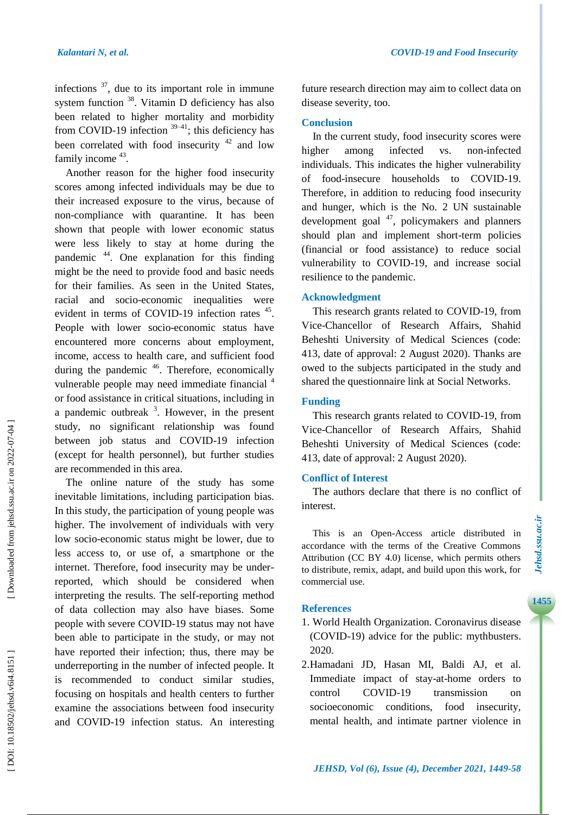infections  $37$ , due to its important role in immune system function  $38$ . Vitamin D deficiency has also been related to higher mortality and morbidity from COVID-19 infection  $39-41$ ; this deficiency has been correlated with food insecurity  $42$  and low family income <sup>43</sup>.

Another reason for the higher food insecurity scores among infected individuals may be due to their increased exposure to the virus, because of non -compliance with quarantine. It has been shown that people with lower economic status were less likely to stay at home during the pandemic <sup>44</sup> . One explanation for this finding might be the need to provide food and basic needs for their families. As seen in the United States, racial and socio -economic inequalities were evident in terms of COVID-19 infection rates <sup>45</sup>. People with lower socio -economic status have encountered more concerns about employment, income, access to health care , and sufficient food during the pandemic <sup>46</sup>. Therefore, economically vulnerable people may need immediate financial<sup>4</sup> or food assistance in critical situations, including in a pandemic outbreak <sup>3</sup>. However, in the present study, no significant relationship was found between job status and COVID -19 infection (except for health personnel), but further studies are recommended in this area.

The online nature of the study has some inevitable limitations, including participation bias. In this study, the participation of young people was higher. The involvement of individuals with very low socio -economic status might be lower, due to less access to, or use of, a smartphone or the internet. Therefore, food insecurity may be under reported, which should be considered when interpreting the results. The self -reporting method of data collection may also have biases. Some people with severe COVID -19 status may not have been able to participate in the study, or may not have reported their infection; thus, there may be underreporting in the number of infected people. It is recommended to conduct similar studies, focusing on hospitals and health centers to further examine the associations between food insecurity and COVID -19 infection status. An interesting future research direction may aim to collect data on disease severity, too.

#### **Conclusion**

In the current study, food insecurity scores were higher among infected vs. non-infected individuals. This indicates the higher vulnerability of food -insecure households to COVID -19. Therefore, in addition to reducing food insecurity and hunger, which is the No. 2 UN sustainable development goal  $47$ , policymakers and planners should plan and implement short -term policies (financial or food assistance) to reduce social vulnerability to COVID -19, and increase social resilience to the pandemic.

# **Acknowledgment**

This research grants related to COVID -19, from Vice -Chancellor of Research Affairs, Shahid Beheshti University of Medical Sciences (code: 413, date of approval: 2 August 2020). Thanks are owed to the subjects participated in the study and shared the questionnaire link at Social Networks.

# **Funding**

This research grants related to COVID -19, from Vice -Chancellor of Research Affairs, Shahid Beheshti University of Medical Sciences (code: 413, date of approval: 2 August 2020).

# **Conflict of Interest**

The authors declare that there is no conflict of interest.

This is an Open -Access article distributed in accordance with the terms of the Creative Commons Attribution (CC BY 4.0) license, which permits others to distribute, remix, adapt, and build upon this work, for commercial use.

# **References**

- 1. World Health Organization. Coronavirus disease (COVID -19) advice for the public: mythbusters. 2020 .
- 2 .Hamadani JD, Hasan MI, Baldi AJ, et al. Immediate impact of stay -at -home orders to control COVID-19 transmission on socioeconomic conditions, food insecurity, mental health, and intimate partner violence in

**1455**

Downloaded from jehsd.ssu.ac.ir on 2022-07-04 ]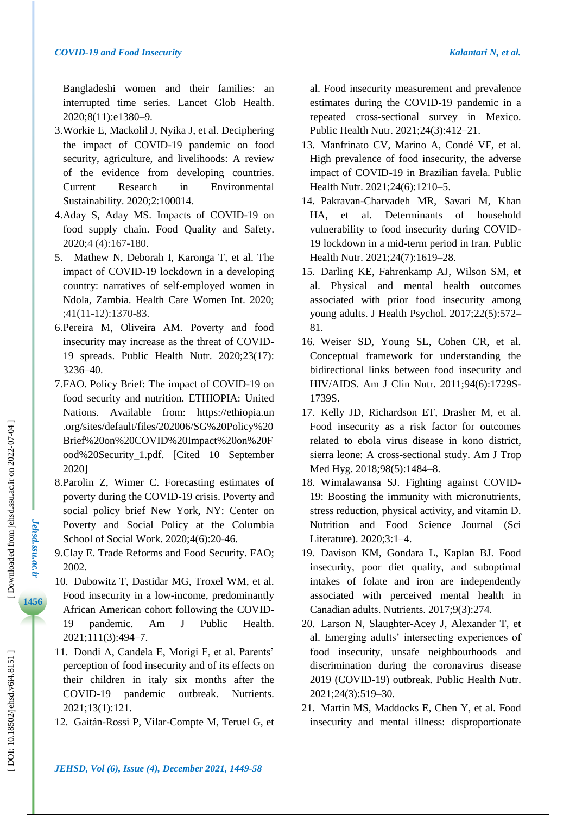#### *COVID -19 and Food Insecurity Kalantari N, et al.*

Bangladeshi women and their families: an interrupted time series. Lancet Glob Health. 2020;8(11):e1380 –9.

- 3 .Workie E, Mackolil J, Nyika J, et al. Deciphering the impact of COVID -19 pandemic on food security, agriculture, and livelihoods: A review of the evidence from developing countries. Current Research in Environmental Sustainability. 2020;2:100014.
- 4 .Aday S, Aday MS. Impacts of COVID -19 on food supply chain. Food Quality and Safety. 2020 ;4 (4):167 -180 .
- 5 . Mathew N, Deborah I, Karonga T, et al. The impact of COVID -19 lockdown in a developing country: narratives of self-employed women in Ndola, Zambia. Health Care Women Int. 2020; ;41(11 -12):1370 -83 .
- 6 .Pereira M, Oliveira AM. Poverty and food insecurity may increase as the threat of COVID - 19 spreads. Public Health Nutr. 2020;23(17): 3236 –40.
- 7 .FAO. Policy Brief: The impact of COVID -19 on food security and nutrition. ETHIOPIA: United Nations. Available from: https://ethiopia.un .org/sites/default/files/202006/SG%20Policy%20 Brief%20on%20COVID%20Impact%20on%20F ood%20Security\_1.pdf . [Cited 10 September 2020 ]
- 8 .Parolin Z, Wimer C. Forecasting estimates of poverty during the COVID -19 crisis. Poverty and social policy brief New York, NY: Center on Poverty and Social Policy at the Columbia School of Social Work. 2020;4(6):20 -46.
- 9 .Clay E. Trade Reforms and Food Security . FAO ; 2002.
- 10 . Dubowitz T, Dastidar MG, Troxel WM, et al. Food insecurity in a low -income, predominantly African American cohort following the COVID - 19 pandemic. Am J Public Health. 2021;111(3):494 –7.
- 11 . Dondi A, Candela E, Morigi F, et al. Parents' perception of food insecurity and of its effects on their children in italy six months after the COVID -19 pandemic outbreak. Nutrients. 2021;13(1):121.
- 12 . Gaitán -Rossi P, Vilar -Compte M, Teruel G, et

al. Food insecurity measurement and prevalence estimates during the COVID -19 pandemic in a repeated cross -sectional survey in Mexico. Public Health Nutr. 2021;24(3):412 –21.

- 13 . Manfrinato CV, Marino A, Condé VF, et al. High prevalence of food insecurity, the adverse impact of COVID -19 in Brazilian favela. Public Health Nutr. 2021;24(6):1210 –5.
- 14 . Pakravan -Charvadeh MR, Savari M, Khan HA, et al. Determinants of household vulnerability to food insecurity during COVID - 19 lockdown in a mid -term period in Iran. Public Health Nutr. 2021;24(7):1619 –28.
- 15 . Darling KE, Fahrenkamp AJ, Wilson SM, et al. Physical and mental health outcomes associated with prior food insecurity among young adults. J Health Psychol. 2017;22(5):572 – 81.
- 16 . Weiser SD, Young SL, Cohen CR, et al. Conceptual framework for understanding the bidirectional links between food insecurity and HIV/AIDS. Am J Clin Nutr. 2011;94(6):1729S - 1739S.
- 17 . Kelly JD, Richardson ET, Drasher M, et al. Food insecurity as a risk factor for outcomes related to ebola virus disease in kono district, sierra leone: A cross -sectional study. Am J Trop Med Hyg. 2018;98(5):1484 –8.
- 18 . Wimalawansa SJ. Fighting against COVID 19: Boosting the immunity with micronutrients, stress reduction, physical activity, and vitamin D. Nutrition and Food Science Journal (Sci Literature). 2020;3:1 –4.
- 19 . Davison KM, Gondara L, Kaplan BJ. Food insecurity, poor diet quality, and suboptimal intakes of folate and iron are independently associated with perceived mental health in Canadian adults. Nutrients. 2017;9(3):274.
- 20 . Larson N, Slaughter -Acey J, Alexander T, et al. Emerging adults' intersecting experiences of food insecurity, unsafe neighbourhoods and discrimination during the coronavirus disease 2019 (COVID -19) outbreak. Public Health Nutr. 2021;24(3):519 –30.
- 21 . Martin MS, Maddocks E, Chen Y, et al. Food insecurity and mental illness: disproportionate

*Jehsd.ssu.ac.ir*

Jehsd.ssu.ac.ir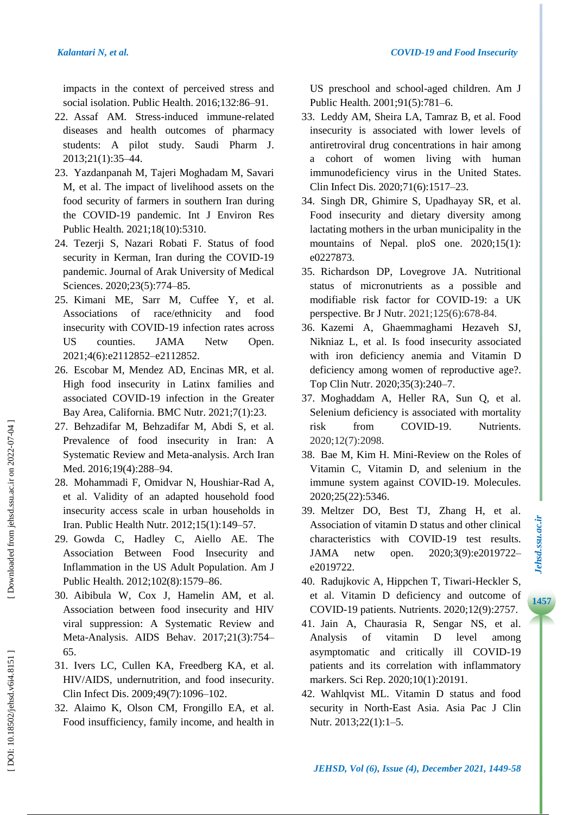impacts in the context of perceived stress and social isolation. Public Health. 2016;132:86 –91.

- 22 . Assaf AM. Stress -induced immune -related diseases and health outcomes of pharmacy students: A pilot study. Saudi Pharm J. 2013;21(1):35 –44.
- 23 . Yazdanpanah M, Tajeri Moghadam M, Savari M, et al. The impact of livelihood assets on the food security of farmers in southern Iran during the COVID -19 pandemic. Int J Environ Res Public Health. 2021 ;18(10):5310.
- 24 . Tezerji S, Nazari Robati F. Status of food security in Kerman, Iran during the COVID -19 pandemic. Journal of Arak University of Medical Sciences. 2020;23(5):774 –85.
- 25 . Kimani ME, Sarr M, Cuffee Y, et al. Associations of race/ethnicity and food insecurity with COVID -19 infection rates across US counties. JAMA Netw Open. 2021;4(6):e2112852 –e2112852.
- 26 . Escobar M, Mendez AD, Encinas MR, et al. High food insecurity in Latinx families and associated COVID -19 infection in the Greater Bay Area, California. BMC Nutr. 2021;7(1):23.
- 27 . Behzadifar M, Behzadifar M, Abdi S, et al. Prevalence of food insecurity in Iran: A Systematic Review and Meta -analysis. Arch Iran Med. 2016;19(4):288 –94.
- 28 . Mohammadi F, Omidvar N, Houshiar -Rad A, et al. Validity of an adapted household food insecurity access scale in urban households in Iran. Public Health Nutr. 2012 ;15(1):149 –57.
- 29 . Gowda C, Hadley C, Aiello AE. The Association Between Food Insecurity and Inflammation in the US Adult Population. Am J Public Health. 2012;102(8):1579 –86.
- 30 . Aibibula W, Cox J, Hamelin AM, et al. Association between food insecurity and HIV viral suppression: A Systematic Review and Meta-Analysis. AIDS Behav. 2017;21(3):754– 65.
- 31 . Ivers LC, Cullen KA, Freedberg KA, et al. HIV/AIDS, undernutrition, and food insecurity. Clin Infect Dis. 2009;49(7):1096 –102.
- 32 . Alaimo K, Olson CM, Frongillo EA, et al. Food insufficiency, family income, and health in

US preschool and school -aged children. Am J Public Health. 2001;91(5):781 –6.

- 33 . Leddy AM, Sheira LA, Tamraz B, et al. Food insecurity is associated with lower levels of antiretroviral drug concentrations in hair among a cohort of women living with human immunodeficiency virus in the United States. Clin Infect Dis. 2020;71(6):1517 –23.
- 34 . Singh DR, Ghimire S, Upadhayay SR, et al. Food insecurity and dietary diversity among lactating mothers in the urban municipality in the mountains of Nepal. ploS one. 2020;15(1): e0227873.
- 35 . Richardson DP, Lovegrove JA. Nutritional status of micronutrients as a possible and modifiable risk factor for COVID -19: a UK perspective. Br J Nutr. 2021 ;125(6):678 -84.
- 36 . Kazemi A, Ghaemmaghami Hezaveh SJ, Nikniaz L, et al. Is food insecurity associated with iron deficiency anemia and Vitamin D deficiency among women of reproductive age? . Top Clin Nutr. 2020;35(3):240 –7.
- 37 . Moghaddam A, Heller RA, Sun Q, et al. Selenium deficiency is associated with mortality risk from COVID Nutrients. 2020 ;12(7):2098.
- 38 . Bae M, Kim H. Mini -Review on the Roles of Vitamin C, Vitamin D, and selenium in the immune system against COVID-19. Molecules. 2020;25(22):5346.
- 39 . Meltzer DO, Best TJ, Zhang H, et al. Association of vitamin D status and other clinical characteristics with COVID -19 test results. JAMA netw open. ; 3(9):e2019722 – e2019722.
- 40 . Radujkovic A, Hippchen T, Tiwari -Heckler S, et al. Vitamin D deficiency and outcome of COVI D -19 patients. Nutrients. 2020;12(9):2757.

**14***Jehsd.ssu.ac.ir*

Jehsd.ssu.ac.ir

**1457**

- 41 . Jain A, Chaurasia R, Sengar NS, et al. Analysis of vitamin D level among asymptomatic and critically ill COVID -19 patients and its correlation with inflammatory markers. Sci Rep. 2020;10(1):20191.
- 42 . Wahlqvist ML. Vitamin D status and food security in North - East Asia. Asia Pac J Clin Nutr. 2013;22(1):1–5.

DOI: 10.18502/jehsd.v6i4.8151